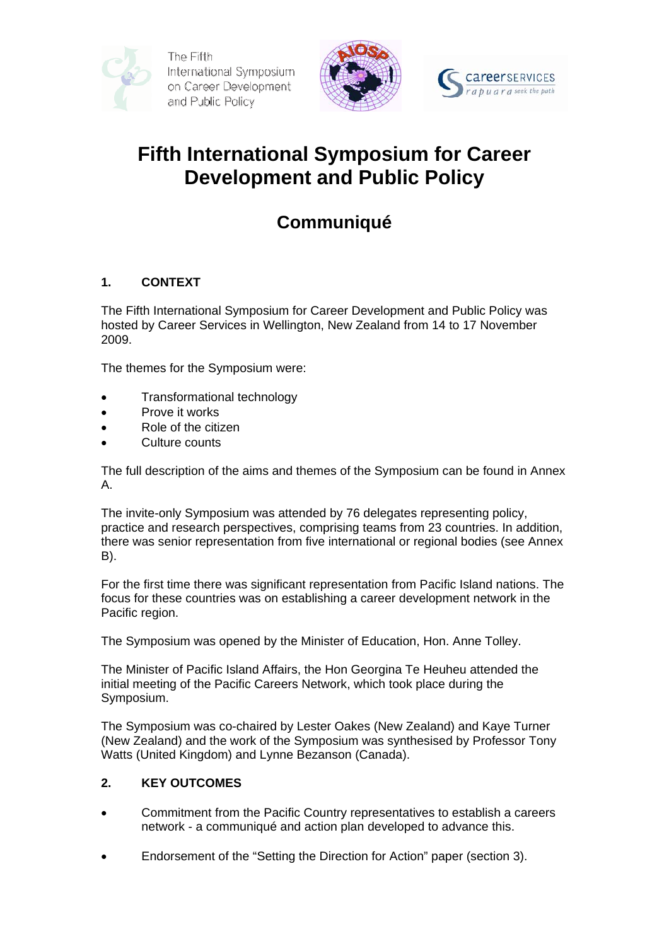



# **Fifth International Symposium for Career Development and Public Policy**

# **Communiqué**

# **1. CONTEXT**

The Fifth International Symposium for Career Development and Public Policy was hosted by Career Services in Wellington, New Zealand from 14 to 17 November 2009.

The themes for the Symposium were:

- Transformational technology
- Prove it works
- Role of the citizen
- Culture counts

The full description of the aims and themes of the Symposium can be found in Annex A.

The invite-only Symposium was attended by 76 delegates representing policy, practice and research perspectives, comprising teams from 23 countries. In addition, there was senior representation from five international or regional bodies (see Annex B).

For the first time there was significant representation from Pacific Island nations. The focus for these countries was on establishing a career development network in the Pacific region.

The Symposium was opened by the Minister of Education, Hon. Anne Tolley.

The Minister of Pacific Island Affairs, the Hon Georgina Te Heuheu attended the initial meeting of the Pacific Careers Network, which took place during the Symposium.

The Symposium was co-chaired by Lester Oakes (New Zealand) and Kaye Turner (New Zealand) and the work of the Symposium was synthesised by Professor Tony Watts (United Kingdom) and Lynne Bezanson (Canada).

## **2. KEY OUTCOMES**

- Commitment from the Pacific Country representatives to establish a careers network - a communiqué and action plan developed to advance this.
- Endorsement of the "Setting the Direction for Action" paper (section 3).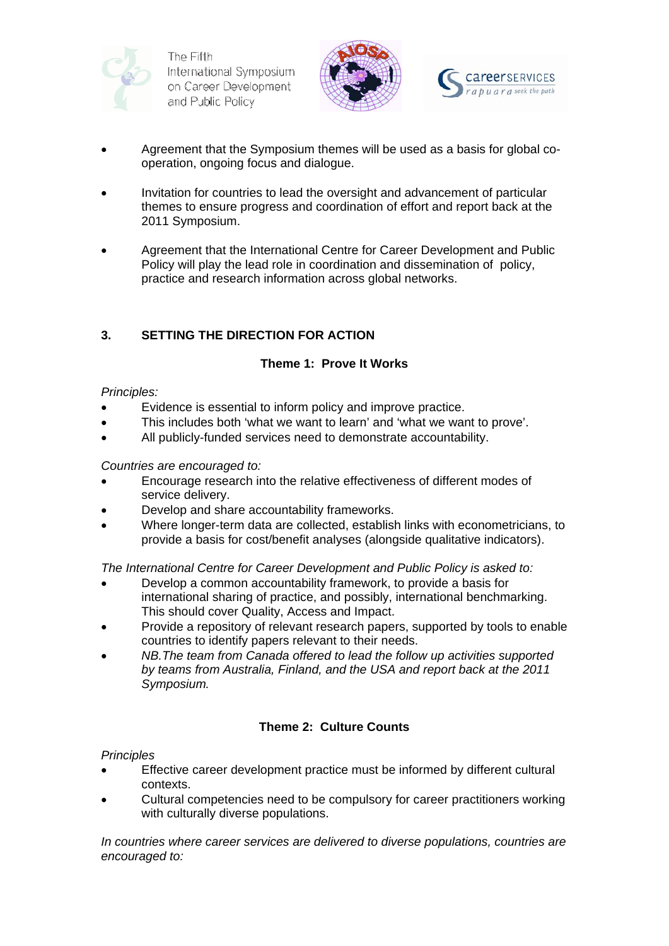





- Agreement that the Symposium themes will be used as a basis for global cooperation, ongoing focus and dialogue.
- Invitation for countries to lead the oversight and advancement of particular themes to ensure progress and coordination of effort and report back at the 2011 Symposium.
- Agreement that the International Centre for Career Development and Public Policy will play the lead role in coordination and dissemination of policy, practice and research information across global networks.

# **3. SETTING THE DIRECTION FOR ACTION**

# **Theme 1: Prove It Works**

### *Principles:*

- Evidence is essential to inform policy and improve practice.
- This includes both 'what we want to learn' and 'what we want to prove'.
- All publicly-funded services need to demonstrate accountability.

### *Countries are encouraged to:*

- Encourage research into the relative effectiveness of different modes of service delivery.
- Develop and share accountability frameworks.
- Where longer-term data are collected, establish links with econometricians, to provide a basis for cost/benefit analyses (alongside qualitative indicators).

*The International Centre for Career Development and Public Policy is asked to:* 

- Develop a common accountability framework, to provide a basis for international sharing of practice, and possibly, international benchmarking. This should cover Quality, Access and Impact.
- Provide a repository of relevant research papers, supported by tools to enable countries to identify papers relevant to their needs.
- *NB.The team from Canada offered to lead the follow up activities supported by teams from Australia, Finland, and the USA and report back at the 2011 Symposium.*

## **Theme 2: Culture Counts**

## *Principles*

- Effective career development practice must be informed by different cultural contexts.
- Cultural competencies need to be compulsory for career practitioners working with culturally diverse populations.

*In countries where career services are delivered to diverse populations, countries are encouraged to:*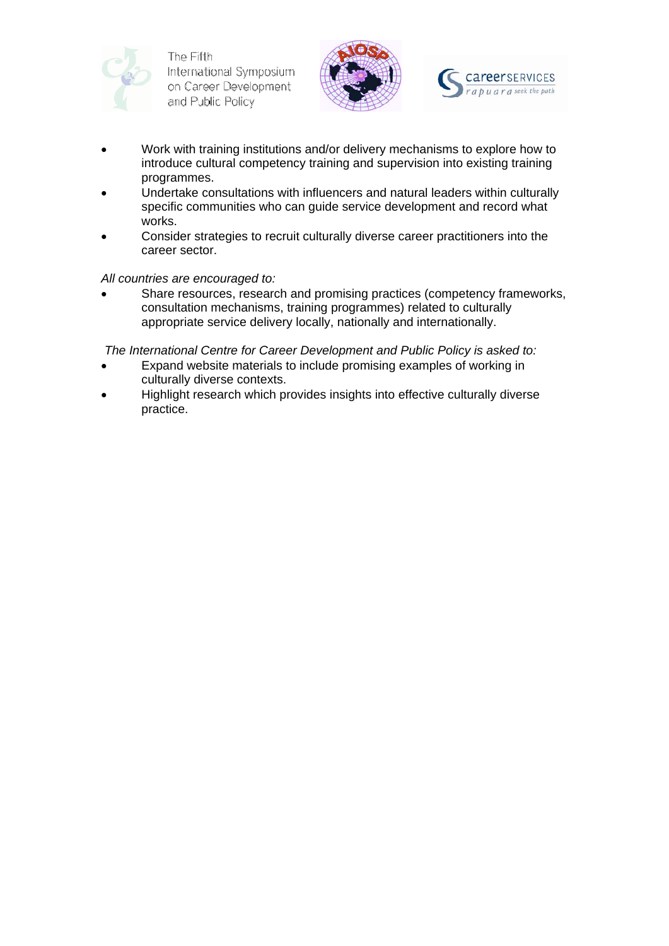





- Work with training institutions and/or delivery mechanisms to explore how to introduce cultural competency training and supervision into existing training programmes.
- Undertake consultations with influencers and natural leaders within culturally specific communities who can guide service development and record what works.
- Consider strategies to recruit culturally diverse career practitioners into the career sector.

### *All countries are encouraged to:*

Share resources, research and promising practices (competency frameworks, consultation mechanisms, training programmes) related to culturally appropriate service delivery locally, nationally and internationally.

 *The International Centre for Career Development and Public Policy is asked to:* 

- Expand website materials to include promising examples of working in culturally diverse contexts.
- Highlight research which provides insights into effective culturally diverse practice.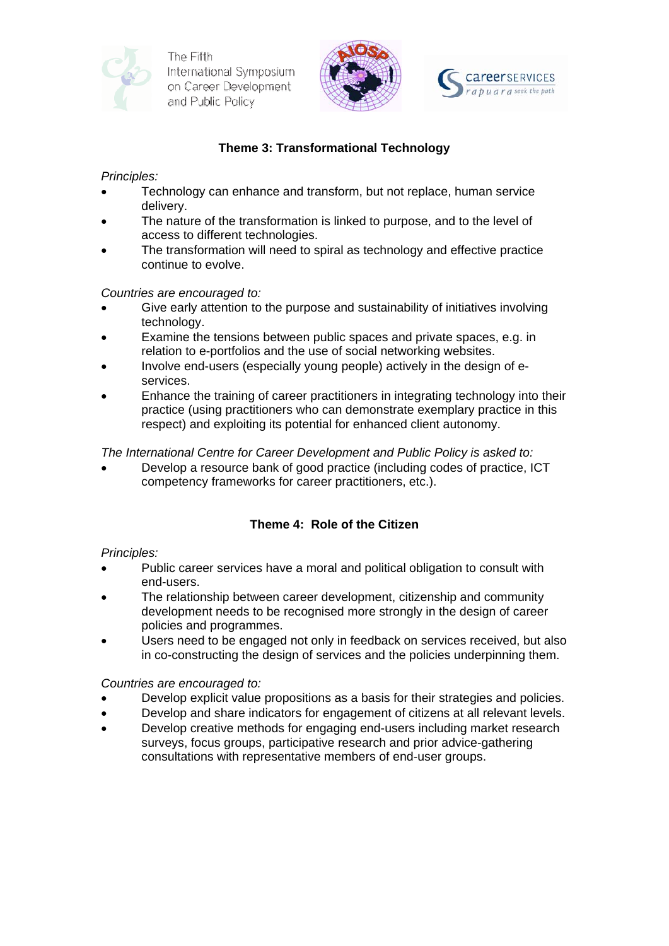





# **Theme 3: Transformational Technology**

*Principles:* 

- Technology can enhance and transform, but not replace, human service delivery.
- The nature of the transformation is linked to purpose, and to the level of access to different technologies.
- The transformation will need to spiral as technology and effective practice continue to evolve.

*Countries are encouraged to:* 

- Give early attention to the purpose and sustainability of initiatives involving technology.
- Examine the tensions between public spaces and private spaces, e.g. in relation to e-portfolios and the use of social networking websites.
- Involve end-users (especially young people) actively in the design of eservices.
- Enhance the training of career practitioners in integrating technology into their practice (using practitioners who can demonstrate exemplary practice in this respect) and exploiting its potential for enhanced client autonomy.

*The International Centre for Career Development and Public Policy is asked to:* 

• Develop a resource bank of good practice (including codes of practice, ICT competency frameworks for career practitioners, etc.).

# **Theme 4: Role of the Citizen**

## *Principles:*

- Public career services have a moral and political obligation to consult with end-users.
- The relationship between career development, citizenship and community development needs to be recognised more strongly in the design of career policies and programmes.
- Users need to be engaged not only in feedback on services received, but also in co-constructing the design of services and the policies underpinning them.

*Countries are encouraged to:* 

- Develop explicit value propositions as a basis for their strategies and policies.
- Develop and share indicators for engagement of citizens at all relevant levels.
- Develop creative methods for engaging end-users including market research surveys, focus groups, participative research and prior advice-gathering consultations with representative members of end-user groups.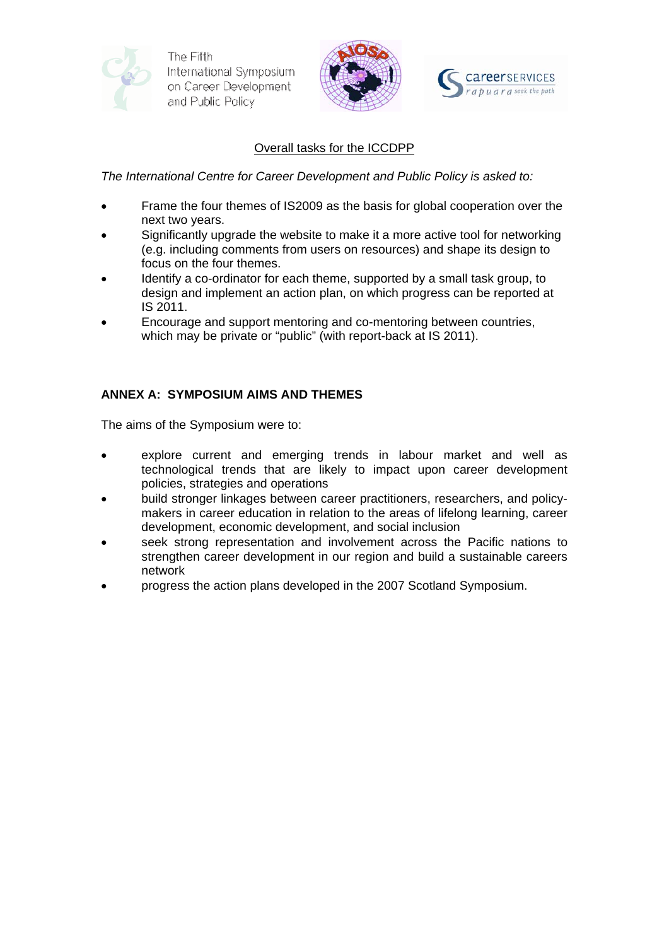



## Overall tasks for the ICCDPP

*The International Centre for Career Development and Public Policy is asked to:* 

- Frame the four themes of IS2009 as the basis for global cooperation over the next two years.
- Significantly upgrade the website to make it a more active tool for networking (e.g. including comments from users on resources) and shape its design to focus on the four themes.
- Identify a co-ordinator for each theme, supported by a small task group, to design and implement an action plan, on which progress can be reported at IS 2011.
- Encourage and support mentoring and co-mentoring between countries, which may be private or "public" (with report-back at IS 2011).

## **ANNEX A: SYMPOSIUM AIMS AND THEMES**

The aims of the Symposium were to:

- explore current and emerging trends in labour market and well as technological trends that are likely to impact upon career development policies, strategies and operations
- build stronger linkages between career practitioners, researchers, and policymakers in career education in relation to the areas of lifelong learning, career development, economic development, and social inclusion
- seek strong representation and involvement across the Pacific nations to strengthen career development in our region and build a sustainable careers network
- progress the action plans developed in the 2007 Scotland Symposium.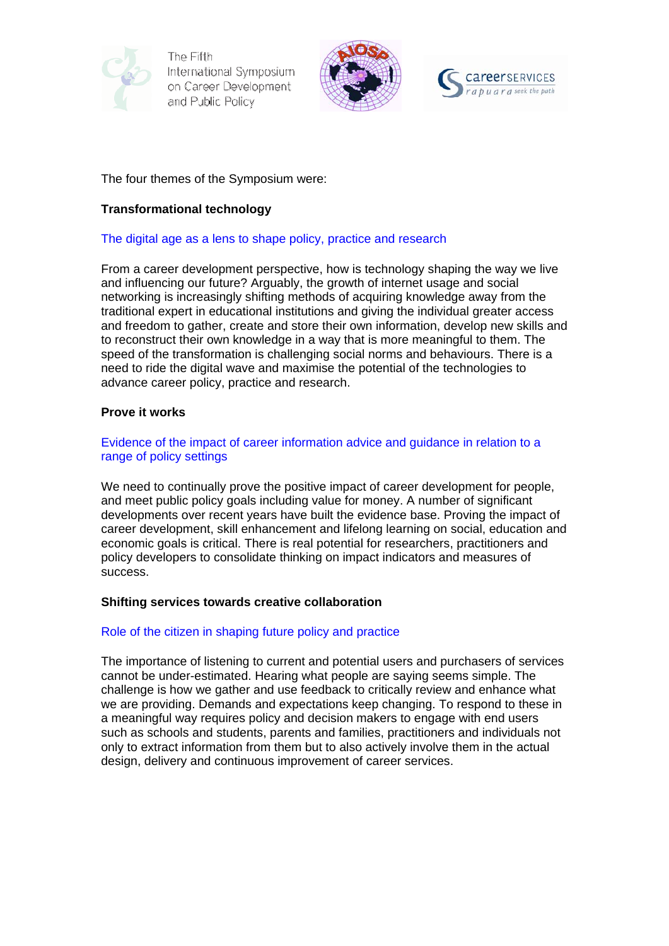





#### The four themes of the Symposium were:

#### **Transformational technology**

#### The digital age as a lens to shape policy, practice and research

From a career development perspective, how is technology shaping the way we live and influencing our future? Arguably, the growth of internet usage and social networking is increasingly shifting methods of acquiring knowledge away from the traditional expert in educational institutions and giving the individual greater access and freedom to gather, create and store their own information, develop new skills and to reconstruct their own knowledge in a way that is more meaningful to them. The speed of the transformation is challenging social norms and behaviours. There is a need to ride the digital wave and maximise the potential of the technologies to advance career policy, practice and research.

#### **Prove it works**

#### Evidence of the impact of career information advice and guidance in relation to a range of policy settings

We need to continually prove the positive impact of career development for people, and meet public policy goals including value for money. A number of significant developments over recent years have built the evidence base. Proving the impact of career development, skill enhancement and lifelong learning on social, education and economic goals is critical. There is real potential for researchers, practitioners and policy developers to consolidate thinking on impact indicators and measures of success.

#### **Shifting services towards creative collaboration**

#### Role of the citizen in shaping future policy and practice

The importance of listening to current and potential users and purchasers of services cannot be under-estimated. Hearing what people are saying seems simple. The challenge is how we gather and use feedback to critically review and enhance what we are providing. Demands and expectations keep changing. To respond to these in a meaningful way requires policy and decision makers to engage with end users such as schools and students, parents and families, practitioners and individuals not only to extract information from them but to also actively involve them in the actual design, delivery and continuous improvement of career services.